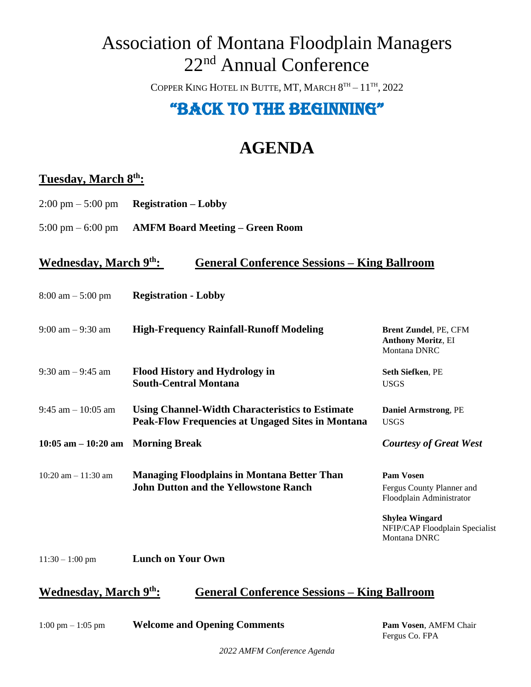## Association of Montana Floodplain Managers 22<sup>nd</sup> Annual Conference

COPPER KING HOTEL IN BUTTE, MT, MARCH  $8^{\text{\tiny{TH}}}-11^{\text{\tiny{TH}}}, 2022$ 

### "Back to the beginning"

## **AGENDA**

### **Tuesday, March 8 th:**

- 2:00 pm 5:00 pm **Registration – Lobby**
- 5:00 pm 6:00 pm **AMFM Board Meeting – Green Room**

#### **Wednesday, March 9 th: General Conference Sessions – King Ballroom**

| $8:00 \text{ am} - 5:00 \text{ pm}$ | <b>Registration - Lobby</b> |
|-------------------------------------|-----------------------------|
|                                     |                             |

| $9:00 \text{ am} - 9:30 \text{ am}$  | <b>High-Frequency Rainfall-Runoff Modeling</b>                                                                     | <b>Brent Zundel, PE, CFM</b><br><b>Anthony Moritz, EI</b><br>Montana DNRC |
|--------------------------------------|--------------------------------------------------------------------------------------------------------------------|---------------------------------------------------------------------------|
| $9:30$ am $-9:45$ am                 | <b>Flood History and Hydrology in</b><br><b>South-Central Montana</b>                                              | <b>Seth Siefken, PE</b><br><b>USGS</b>                                    |
| $9:45$ am $-10:05$ am                | <b>Using Channel-Width Characteristics to Estimate</b><br><b>Peak-Flow Frequencies at Ungaged Sites in Montana</b> | <b>Daniel Armstrong, PE</b><br><b>USGS</b>                                |
| $10:05$ am $-10:20$ am Morning Break |                                                                                                                    | <b>Courtesy of Great West</b>                                             |
| $10:20$ am $-11:30$ am               | <b>Managing Floodplains in Montana Better Than</b><br><b>John Dutton and the Yellowstone Ranch</b>                 | <b>Pam Vosen</b><br>Fergus County Planner and<br>Floodplain Administrator |
|                                      |                                                                                                                    | Shylea Wingard<br>NFIP/CAP Floodplain Specialist<br>Montana DNRC          |
| $11:30 - 1:00$ pm                    | <b>Lunch on Your Own</b>                                                                                           |                                                                           |

#### **Wednesday, March 9 th: General Conference Sessions – King Ballroom**

1:00 pm – 1:05 pm **Welcome and Opening Comments Pam Vosen**, AMFM Chair

Fergus Co. FPA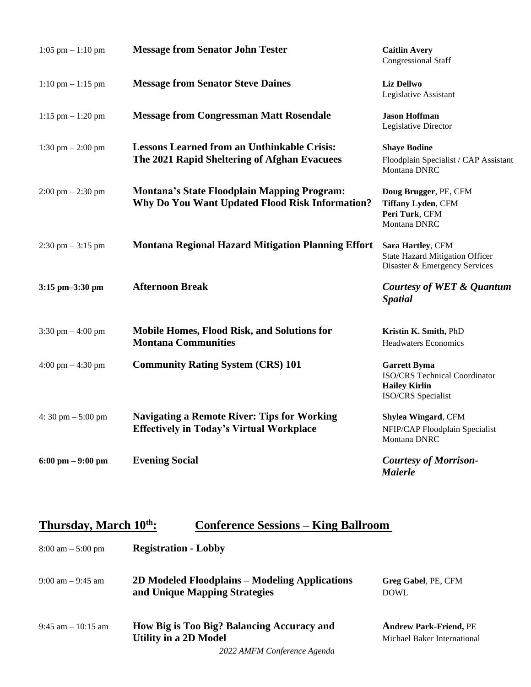| $1:05$ pm $-1:10$ pm                | <b>Message from Senator John Tester</b>                                                               | <b>Caitlin Avery</b><br><b>Congressional Staff</b>                                                 |
|-------------------------------------|-------------------------------------------------------------------------------------------------------|----------------------------------------------------------------------------------------------------|
| $1:10$ pm $-1:15$ pm                | <b>Message from Senator Steve Daines</b>                                                              | <b>Liz Dellwo</b><br>Legislative Assistant                                                         |
| $1:15$ pm $- 1:20$ pm               | <b>Message from Congressman Matt Rosendale</b>                                                        | <b>Jason Hoffman</b><br>Legislative Director                                                       |
| 1:30 pm $- 2:00$ pm                 | <b>Lessons Learned from an Unthinkable Crisis:</b><br>The 2021 Rapid Sheltering of Afghan Evacuees    | <b>Shaye Bodine</b><br>Floodplain Specialist / CAP Assistant<br>Montana DNRC                       |
| $2:00 \text{ pm} - 2:30 \text{ pm}$ | <b>Montana's State Floodplain Mapping Program:</b><br>Why Do You Want Updated Flood Risk Information? | Doug Brugger, PE, CFM<br>Tiffany Lyden, CFM<br>Peri Turk, CFM<br>Montana DNRC                      |
| $2:30$ pm $-3:15$ pm                | <b>Montana Regional Hazard Mitigation Planning Effort</b>                                             | Sara Hartley, CFM<br><b>State Hazard Mitigation Officer</b><br>Disaster & Emergency Services       |
| 3:15 pm-3:30 pm                     | <b>Afternoon Break</b>                                                                                | Courtesy of WET & Quantum<br><b>Spatial</b>                                                        |
| 3:30 pm $-4:00$ pm                  | <b>Mobile Homes, Flood Risk, and Solutions for</b><br><b>Montana Communities</b>                      | Kristin K. Smith, PhD<br><b>Headwaters Economics</b>                                               |
| 4:00 pm $-$ 4:30 pm                 | <b>Community Rating System (CRS) 101</b>                                                              | <b>Garrett Byma</b><br>ISO/CRS Technical Coordinator<br><b>Hailey Kirlin</b><br>ISO/CRS Specialist |
| 4:30 pm $-5:00$ pm                  | <b>Navigating a Remote River: Tips for Working</b><br><b>Effectively in Today's Virtual Workplace</b> | Shylea Wingard, CFM<br>NFIP/CAP Floodplain Specialist<br>Montana DNRC                              |
| $6:00 \text{ pm} - 9:00 \text{ pm}$ | <b>Evening Social</b>                                                                                 | <b>Courtesy of Morrison-</b><br><b>Maierle</b>                                                     |

#### **Thursday, March 10 th: Conference Sessions – King Ballroom**

| $8:00 \text{ am} - 5:00 \text{ pm}$ | <b>Registration - Lobby</b>                                                     |                                                              |
|-------------------------------------|---------------------------------------------------------------------------------|--------------------------------------------------------------|
| $9:00 \text{ am} - 9:45 \text{ am}$ | 2D Modeled Floodplains – Modeling Applications<br>and Unique Mapping Strategies | Greg Gabel, PE, CFM<br><b>DOWL</b>                           |
| $9:45$ am $-10:15$ am               | How Big is Too Big? Balancing Accuracy and<br><b>Utility in a 2D Model</b>      | <b>Andrew Park-Friend, PE</b><br>Michael Baker International |
|                                     | 2022 AMEM Conformace Agenda                                                     |                                                              |

*2022 AMFM Conference Agenda*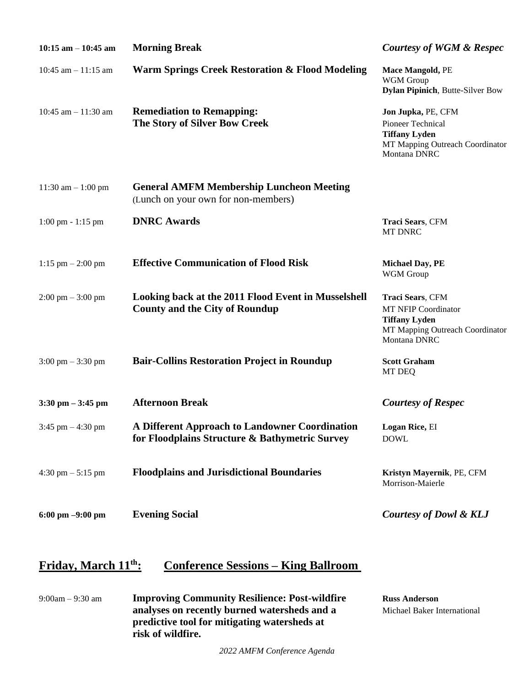| $10:15$ am $-10:45$ am              | <b>Morning Break</b>                                                                             | <b>Courtesy of WGM &amp; Respec</b>                                                                                              |
|-------------------------------------|--------------------------------------------------------------------------------------------------|----------------------------------------------------------------------------------------------------------------------------------|
| 10:45 am $- 11:15$ am               | <b>Warm Springs Creek Restoration &amp; Flood Modeling</b>                                       | Mace Mangold, PE<br>WGM Group<br><b>Dylan Pipinich</b> , Butte-Silver Bow                                                        |
| 10:45 am $-$ 11:30 am               | <b>Remediation to Remapping:</b><br>The Story of Silver Bow Creek                                | Jon Jupka, PE, CFM<br><b>Pioneer Technical</b><br><b>Tiffany Lyden</b><br>MT Mapping Outreach Coordinator<br><b>Montana DNRC</b> |
| 11:30 am $-1:00$ pm                 | <b>General AMFM Membership Luncheon Meeting</b><br>(Lunch on your own for non-members)           |                                                                                                                                  |
| $1:00$ pm $-1:15$ pm                | <b>DNRC Awards</b>                                                                               | Traci Sears, CFM<br>MT DNRC                                                                                                      |
| $1:15$ pm $- 2:00$ pm               | <b>Effective Communication of Flood Risk</b>                                                     | <b>Michael Day, PE</b><br>WGM Group                                                                                              |
| $2:00 \text{ pm} - 3:00 \text{ pm}$ | Looking back at the 2011 Flood Event in Musselshell<br><b>County and the City of Roundup</b>     | Traci Sears, CFM<br><b>MT NFIP Coordinator</b><br><b>Tiffany Lyden</b><br>MT Mapping Outreach Coordinator<br>Montana DNRC        |
| $3:00 \text{ pm} - 3:30 \text{ pm}$ | <b>Bair-Collins Restoration Project in Roundup</b>                                               | <b>Scott Graham</b><br>MT DEQ                                                                                                    |
| $3:30$ pm $-3:45$ pm                | <b>Afternoon Break</b>                                                                           | <b>Courtesy of Respec</b>                                                                                                        |
| 3:45 pm $-4:30$ pm                  | A Different Approach to Landowner Coordination<br>for Floodplains Structure & Bathymetric Survey | Logan Rice, EI<br><b>DOWL</b>                                                                                                    |
| 4:30 pm $-$ 5:15 pm                 | <b>Floodplains and Jurisdictional Boundaries</b>                                                 | Kristyn Mayernik, PE, CFM<br>Morrison-Maierle                                                                                    |
| 6:00 pm $-9:00$ pm                  | <b>Evening Social</b>                                                                            | <b>Courtesy of Dowl &amp; KLJ</b>                                                                                                |

### **Friday, March 11 th: Conference Sessions – King Ballroom**

| $9:00am - 9:30am$ | <b>Improving Community Resilience: Post-wildfire</b> | <b>Russ Anderson</b>        |
|-------------------|------------------------------------------------------|-----------------------------|
|                   | analyses on recently burned watersheds and a         | Michael Baker International |
|                   | predictive tool for mitigating watersheds at         |                             |
|                   | risk of wildfire.                                    |                             |